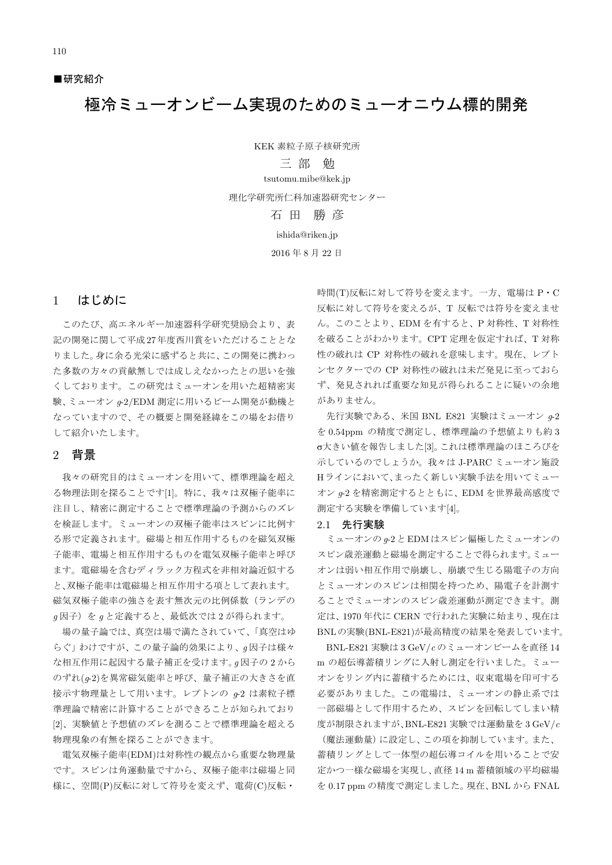■研究紹介

# 極冷ミューオンビーム実現のためのミューオニウム標的開発

KEK 素粒子原子核研究所 三部 觔 tsutomu.mibe@kek.jp 理化学研究所仁科加速器研究センター 石田 勝彦 ishida@riken.jp 2016年8月22日

#### $\mathbf{1}$ はじめに

このたび、高エネルギー加速器科学研究奨励会より、表 記の開発に関して平成27年度西川賞をいただけることとな りました。身に余る光栄に感ずると共に、この開発に携わっ た多数の方々の貢献無しでは成しえなかったとの思いを強 くしております。この研究はミューオンを用いた超精密実 験、ミューオン q-2/EDM 測定に用いるビーム開発が動機と なっていますので、その概要と開発経緯をこの場をお借り して紹介いたします。

### 2 背景

我々の研究目的はミューオンを用いて、標準理論を超え る物理法則を探ることです[1]。特に、我々は双極子能率に 注目し、精密に測定することで標準理論の予測からのズレ を検証します。ミューオンの双極子能率はスピンに比例す る形で定義されます。磁場と相互作用するものを磁気双極 子能率、電場と相互作用するものを電気双極子能率と呼び ます。電磁場を含むディラック方程式を非相対論近似する と、双極子能率は雷磁場と相互作用する項として表れます。 磁気双極子能率の強さを表す無次元の比例係数(ランデの q因子)をqと定義すると、最低次では2が得られます。

場の量子論では、真空は場で満たされていて、「真空はゆ らぐ」わけですが、この量子論的効果により、q因子は様々 な相互作用に起因する量子補正を受けます。g因子の2から のずれ(g-2)を異常磁気能率と呼び、量子補正の大きさを直 接示す物理量として用います。レプトンの q-2 は素粒子標 準理論で精密に計算することができることが知られており [2]、実験値と予想値のズレを測ることで標準理論を超える 物理現象の有無を探ることができます。

電気双極子能率(EDM)は対称性の観点から重要な物理量 です。スピンは角運動量ですから、双極子能率は磁場と同 様に、空間(P)反転に対して符号を変えず、電荷(C)反転·

時間(T)反転に対して符号を変えます。一方、電場は P·C 反転に対して符号を変えるが、T 反転では符号を変えませ ん。このことより、EDMを有すると、P対称性、T対称性 を破ることがわかります。CPT 定理を仮定すれば、T対称 性の破れは CP 対称性の破れを意味します。現在、レプト ンセクターでの CP 対称性の破れは未だ発見に至っておら ず、発見されれば重要な知見が得られることに疑いの余地 がありません。

先行実験である、米国 BNL E821 実験はミューオン  $q$ -2 を 0.54ppm の精度で測定し、標準理論の予想値よりも約3 σ大きい値を報告しました[3]。これは標準理論のほころびを 示しているのでしょうか。我々は J-PARC ミューオン施設 Hラインにおいて、まったく新しい実験手法を用いてミュー オン q-2 を精密測定するとともに、EDM を世界最高感度で 測定する実験を準備しています[4]。

#### 2.1 先行実験

ミューオンの Q-2 と EDM はスピン偏極したミューオンの スピン歳差運動と磁場を測定することで得られます。ミュー オンは弱い相互作用で崩壊し、崩壊で生じる陽電子の方向 とミューオンのスピンは相関を持つため、陽電子を計測す ることでミューオンのスピン歳差運動が測定できます。測 定は、1970年代に CERN で行われた実験に始まり、現在は BNLの実験(BNL-E821)が最高精度の結果を発表しています。

BNL-E821 実験は3 GeV/ $c$ のミューオンビームを直径14 m の超伝導蓄積リングに入射し測定を行いました。ミュー オンをリング内に蓄積するためには、収束電場を印可する 必要がありました。この電場は、ミューオンの静止系では 一部磁場として作用するため、スピンを回転してしまい精 度が制限されますが、BNL-E821 実験では運動量を3 GeV/ $c$ 

(魔法運動量)に設定し、この項を抑制しています。また、 蓄積リングとして一体型の超伝導コイルを用いることで安 定かつ一様な磁場を実現し、直径 14m 蓄積領域の平均磁場 を 0.17 ppm の精度で測定しました。現在、BNL から FNAL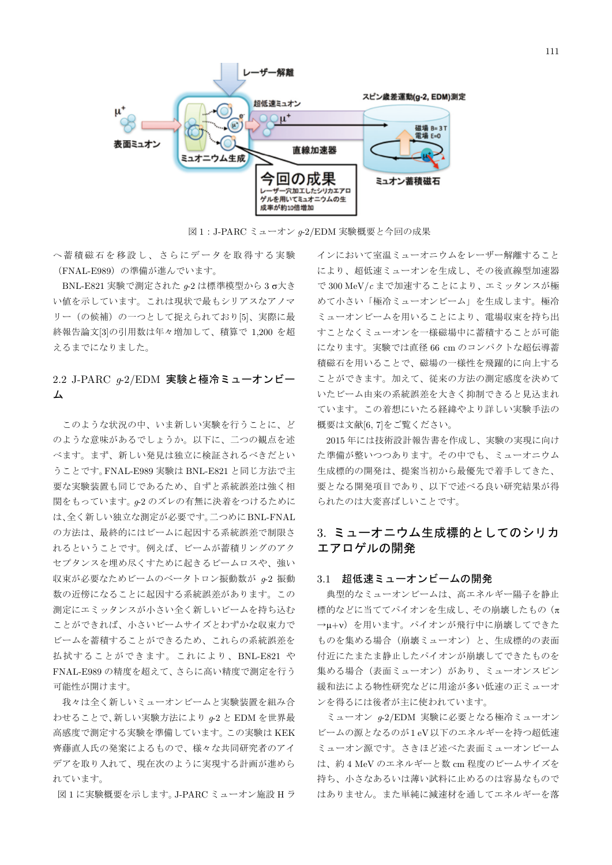

図1:J-PARCミューオン q-2/EDM 実験概要と今回の成果

へ蓄積磁石を移設し、さらにデータを取得する実験 (FNAL-E989)の準備が進んでいます。

BNL-E821 実験で測定された g-2 は標準模型から3σ大き い値を示しています。これは現状で最もシリアスなアノマ リー(の候補)の一つとして捉えられており[5]、実際に最 終報告論文[3]の引用数は年々増加して、積算で 1,200 を超 えるまでになりました。

## 2.2 J-PARC  $g$ -2/EDM 実験と極冷ミューオンビー 厶

このような状況の中、いま新しい実験を行うことに、ど のような意味があるでしょうか。以下に、二つの観点を述 べます。まず、新しい発見は独立に検証されるべきだとい うことです。FNAL-E989 実験は BNL-E821 と同じ方法で主 要な実験装置も同じであるため、自ずと系統誤差は強く相 関をもっています。g-2 のズレの有無に決着をつけるために は、全く新しい独立な測定が必要です。二つめにBNL-FNAL の方法は、最終的にはビームに起因する系統誤差で制限さ れるということです。例えば、ビームが蓄積リングのアク セプタンスを埋め尽くすために起きるビームロスや、強い 収束が必要なためビームのベータトロン振動数が g-2 振動 数の近傍になることに起因する系統誤差があります。この 測定にエミッタンスが小さい全く新しいビームを持ち込む ことができれば、小さいビームサイズとわずかな収束力で ビームを蓄積することができるため、これらの系統誤差を 払拭することができます。これにより、BNL-E821 や FNAL-E989の精度を超えて、さらに高い精度で測定を行う 可能性が開けます。

我々は全く新しいミューオンビームと実験装置を組み合 わせることで、新しい実験方法により q-2 と EDM を世界最 高感度で測定する実験を準備しています。この実験は KEK 齊藤直人氏の発案によるもので、様々な共同研究者のアイ デアを取り入れて、現在次のように実現する計画が進めら れています。

図1に実験概要を示します。J-PARC ミューオン施設 Hラ

インにおいて室温ミューオニウムをレーザー解離すること により、超低速ミューオンを生成し、その後直線型加速器 で300 MeV/c まで加速することにより、エミッタンスが極 めて小さい「極冷ミューオンビーム」を生成します。極冷 ミューオンビームを用いることにより、電場収束を持ち出 すことなくミューオンを一様磁場中に蓄積することが可能 になります。実験では直径 66 cm のコンパクトな超伝導蓄 積磁石を用いることで、磁場の一様性を飛躍的に向上する ことができます。加えて、従来の方法の測定感度を決めて いたビーム由来の系統誤差を大きく抑制できると見込まれ ています。この着想にいたる経緯やより詳しい実験手法の 概要は文献[6,7]をご覧ください。

2015年には技術設計報告書を作成し、実験の実現に向け た準備が整いつつあります。その中でも、ミューオニウム 生成標的の開発は、提案当初から最優先で着手してきた、 要となる開発項目であり、以下で述べる良い研究結果が得 られたのは大変喜ばしいことです。

## 3. ミューオニウム生成標的としてのシリカ エアロゲルの開発

### 3.1 超低速ミューオンビームの開発

典型的なミューオンビームは、高エネルギー陽子を静止 標的などに当ててパイオンを生成し、その崩壊したもの(π →µ+v) を用います。パイオンが飛行中に崩壊してできた ものを集める場合(崩壊ミューオン)と、生成標的の表面 付近にたまたま静止したパイオンが崩壊してできたものを 集める場合(表面ミューオン)があり、ミューオンスピン 緩和法による物性研究などに用途が多い低速の正ミューオ ンを得るには後者が主に使われています。

ミューオン q-2/EDM 実験に必要となる極冷ミューオン ビームの源となるのが1eV以下のエネルギーを持つ超低速 ミューオン源です。さきほど述べた表面ミューオンビーム は、約4 MeV のエネルギーと数 cm 程度のビームサイズを 持ち、小さなあるいは薄い試料に止めるのは容易なもので はありません。また単純に減速材を通してエネルギーを落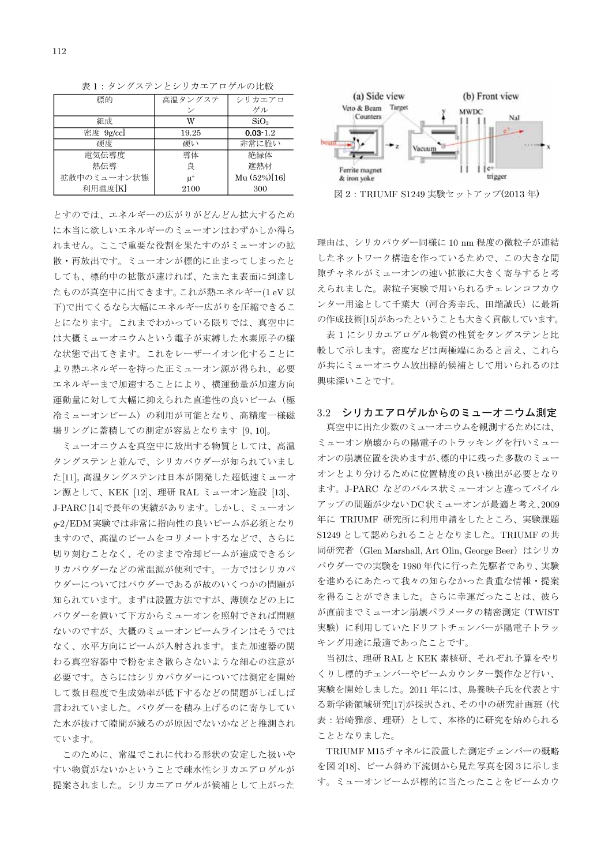| 標的          | 高温タンクステ | シリカエアロ           |
|-------------|---------|------------------|
|             |         | ゲル               |
| 組成          | W       | SiO <sub>2</sub> |
| 密度 9g/cc]   | 19.25   | $0.03 - 1.2$     |
| 硬度          | 硬い      | 非常に脆い            |
| 雷気伝導度       | 導体      | 絶縁体              |
| 熱伝導         | 良       | 遮熱材              |
| 拡散中のミューオン状態 | $\mu^+$ | Mu (52%)[16]     |
| 利用温度[K]     | 2100    | 300              |

表1:タングステンとシリカエアロゲルの比較

とすのでは、エネルギーの広がりがどんどん拡大するため に本当に欲しいエネルギーのミューオンはわずかしか得ら れません。ここで重要な役割を果たすのがミューオンの拡 散・再放出です。ミューオンが標的に止まってしまったと しても、標的中の拡散が速ければ、たまたま表面に到達し たものが真空中に出てきます。これが熱エネルギー(1eV以 下)で出てくるなら大幅にエネルギー広がりを圧縮できるこ とになります。これまでわかっている限りでは、真空中に は大概ミューオニウムという電子が束縛した水素原子の様 な状態で出てきます。これをレーザーイオン化することに より熱エネルギーを持った正ミューオン源が得られ、必要 エネルギーまで加速することにより、横運動量が加速方向 運動量に対して大幅に抑えられた直進性の良いビーム(極 冷ミューオンビーム)の利用が可能となり、高精度一様磁 場リングに蓄積しての測定が容易となります [9,10]。

ミューオニウムを真空中に放出する物質としては、高温 タングステンと並んで、シリカパウダーが知られていまし た[11]。高温タングステンは日本が開発した超低速ミューオ ン源として、KEK [12]、理研 RAL ミューオン施設 [13]、 J-PARC [14]で長年の実績があります。しかし、ミューオン q-2/EDM実験では非常に指向性の良いビームが必須となり ますので、高温のビームをコリメートするなどで、さらに 切り刻むことなく、そのままで冷却ビームが達成できるシ リカパウダーなどの常温源が便利です。一方ではシリカパ ウダーについてはパウダーであるが故のいくつかの問題が 知られています。まずは設置方法ですが、薄膜などの上に パウダーを置いて下方からミューオンを照射できれば問題 ないのですが、大概のミューオンビームラインはそうでは なく、水平方向にビームが入射されます。また加速器の関 わる真空容器中で粉をまき散らさないような細心の注意が 必要です。さらにはシリカパウダーについては測定を開始 して数日程度で生成効率が低下するなどの問題がしばしば 言われていました。パウダーを積み上げるのに寄与してい た水が抜けて隙間が減るのが原因でないかなどと推測され ています。

このために、常温でこれに代わる形状の安定した扱いや すい物質がないかということで疎水性シリカエアロゲルが 提案されました。シリカエアロゲルが候補として上がった



図2: TRIUMF S1249 実験セットアップ(2013年)

理由は、シリカパウダー同様に 10 nm程度の微粒子が連結 したネットワーク構造を作っているためで、この大きな間 隙チャネルがミューオンの速い拡散に大きく寄与すると考 えられました。素粒子実験で用いられるチェレンコフカウ ンター用途として千葉大 (河合秀幸氏、田端誠氏)に最新 の作成技術[15]があったということも大きく貢献しています。

表1にシリカエアロゲル物質の性質をタングステンと比 較して示します。密度などは両極端にあると言え、これら が共にミューオニウム放出標的候補として用いられるのは 興味深いことです。

### 3.2 シリカエアロゲルからのミューオニウム測定

真空中に出た少数のミューオニウムを観測するためには、 ミューオン崩壊からの陽電子のトラッキングを行いミュー オンの崩壊位置を決めますが、標的中に残った多数のミュー オンとより分けるために位置精度の良い検出が必要となり ます。J-PARC などのパルス状ミューオンと違ってパイル アップの問題が少ないDC状ミューオンが最適と考え、2009 年に TRIUMF 研究所に利用申請をしたところ、実験課題 S1249 として認められることとなりました。TRIUMF の共 同研究者 (Glen Marshall, Art Olin, George Beer) はシリカ パウダーでの実験を1980年代に行った先駆者であり、実験 を進めるにあたって我々の知らなかった貴重な情報・提案 を得ることができました。さらに幸運だったことは、彼ら が直前までミューオン崩壊パラメータの精密測定 (TWIST 実験)に利用していたドリフトチェンバーが陽電子トラッ キング用途に最適であったことです。

当初は、理研 RAL と KEK 素核研、それぞれ予算をやり くりし標的チェンバーやビームカウンター製作など行い、 実験を開始しました。2011年には、鳥養映子氏を代表とす る新学術領域研究[17]が採択され、その中の研究計画班(代 表:岩崎雅彦、理研)として、本格的に研究を始められる こととなりました。

TRIUMF M15チャネルに設置した測定チェンバーの概略 を図 2[18]、ビーム斜め下流側から見た写真を図3に示しま す。ミューオンビームが標的に当たったことをビームカウ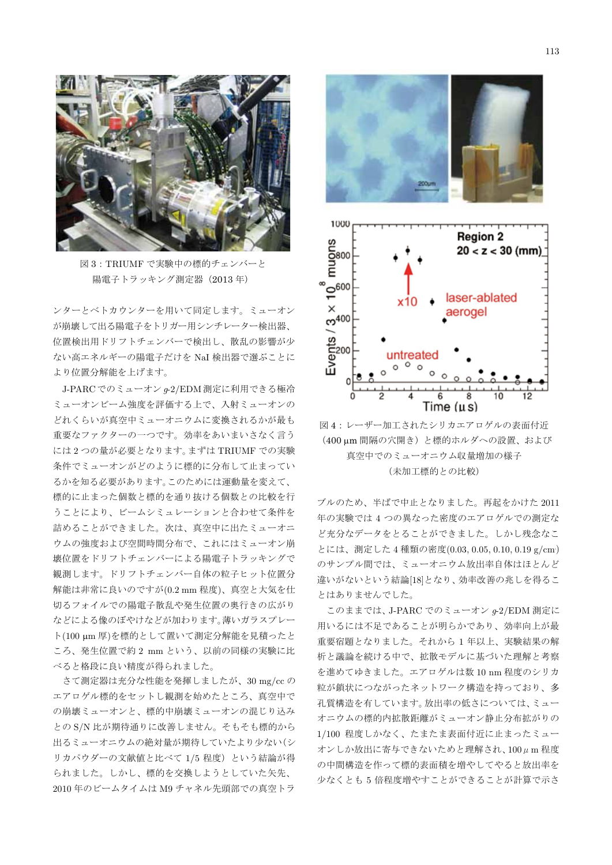

図3:TRIUMFで実験中の標的チェンバーと 陽電子トラッキング測定器 (2013年)

ンターとベトカウンターを用いて同定します。ミューオン が崩壊して出る陽電子をトリガー用シンチレーター検出器、 位置検出用ドリフトチェンバーで検出し、散乱の影響が少 ない高エネルギーの陽電子だけを NaI 検出器で選ぶことに より位置分解能を上げます。

J-PARCでのミューオン a-2/EDM 測定に利用できる極冷 ミューオンビーム強度を評価する上で、入射ミューオンの どれくらいが真空中ミューオニウムに変換されるかが最も 重要なファクターの一つです。効率をあいまいさなく言う には2つの量が必要となります。まずは TRIUMF での実験 条件でミューオンがどのように標的に分布して止まってい るかを知る必要があります。このためには運動量を変えて、 標的に止まった個数と標的を通り抜ける個数との比較を行 うことにより、ビームシミュレーションと合わせて条件を 詰めることができました。次は、真空中に出たミューオニ ウムの強度および空間時間分布で、これにはミューオン崩 壊位置をドリフトチェンバーによる陽電子トラッキングで 観測します。ドリフトチェンバー自体の粒子ヒット位置分 解能は非常に良いのですが(0.2 mm程度)、真空と大気を仕 切るフォイルでの陽電子散乱や発生位置の奥行きの広がり などによる像のぼやけなどが加わります。薄いガラスプレー ト(100 µm 厚)を標的として置いて測定分解能を見積ったと ころ、発生位置で約2 mm という、以前の同様の実験に比 べると格段に良い精度が得られました。

さて測定器は充分な性能を発揮しましたが、30 mg/ccの エアロゲル標的をセットし観測を始めたところ、真空中で の崩壊ミューオンと、標的中崩壊ミューオンの混じり込み とのS/N 比が期待通りに改善しません。そもそも標的から 出るミューオニウムの絶対量が期待していたより少ない(シ リカパウダーの文献値と比べて 1/5 程度)という結論が得 られました。しかし、標的を交換しようとしていた矢先、 2010年のビームタイムは M9 チャネル先頭部での真空トラ



図4:レーザー加工されたシリカエアロゲルの表面付近 (400 um 間隔の穴開き)と標的ホルダへの設置、および 真空中でのミューオニウム収量増加の様子 (未加工標的との比較)

ブルのため、半ばで中止となりました。再起をかけた2011 年の実験では4つの異なった密度のエアロゲルでの測定な ど充分なデータをとることができました。しかし残念なこ とには、測定した4種類の密度(0.03,0.05,0.10,0.19 g/cm) のサンプル間では、ミューオニウム放出率自体はほとんど 違いがないという結論[18]となり、効率改善の兆しを得るこ とはありませんでした。

このままでは、J-PARC でのミューオン g-2/EDM 測定に 用いるには不足であることが明らかであり、効率向上が最 重要宿題となりました。それから1年以上、実験結果の解 析と議論を続ける中で、拡散モデルに基づいた理解と考察 を進めてゆきました。エアロゲルは数 10 nm 程度のシリカ 粒が鎖状につながったネットワーク構造を持っており、多 孔質構造を有しています。放出率の低さについては、ミュー オニウムの標的内拡散距離がミューオン静止分布拡がりの 1/100 程度しかなく、たまたま表面付近に止まったミュー オンしか放出に寄与できないためと理解され、100μm程度 の中間構造を作って標的表面積を増やしてやると放出率を 少なくとも5倍程度増やすことができることが計算で示さ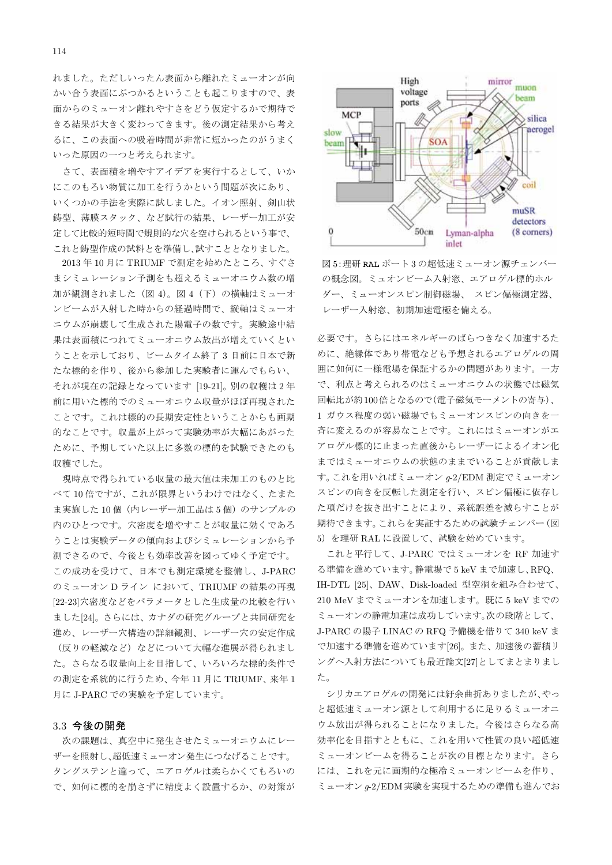れました。ただしいったん表面から離れたミューオンが向 かい合う表面にぶつかるということも起こりますので、表 面からのミューオン離れやすさをどう仮定するかで期待で きる結果が大きく変わってきます。後の測定結果から考え るに、この表面への吸着時間が非常に短かったのがうまく いった原因の一つと考えられます。

さて、表面積を増やすアイデアを実行するとして、いか にこのもろい物質に加工を行うかという問題が次にあり、 いくつかの手法を実際に試しました。イオン照射、剣山状 鋳型、薄膜スタック、など試行の結果、レーザー加工が安 定して比較的短時間で規則的な穴を空けられるという事で、 これと鋳型作成の試料とを準備し、試すこととなりました。

2013年10月にTRIUMFで測定を始めたところ、すぐさ まシミュレーション予測をも超えるミューオニウム数の増 加が観測されました (図4)。図4 (下) の横軸はミューオ ンビームが入射した時からの経過時間で、縦軸はミューオ ニウムが崩壊して生成された陽電子の数です。実験途中結 果は表面積につれてミューオニウム放出が増えていくとい うことを示しており、ビームタイム終了3日前に日本で新 たな標的を作り、後から参加した実験者に運んでもらい、 それが現在の記録となっています [19-21]。別の収穫は2年 前に用いた標的でのミューオニウム収量がほぼ再現された ことです。これは標的の長期安定性ということからも画期 的なことです。収量が上がって実験効率が大幅にあがった ために、予期していた以上に多数の標的を試験できたのも 収穫でした。

現時点で得られている収量の最大値は未加工のものと比 べて10倍ですが、これが限界というわけではなく、たまた ま実施した10個 (内レーザー加工品は5個)のサンプルの 内のひとつです。穴密度を増やすことが収量に効くであろ うことは実験データの傾向およびシミュレーションから予 測できるので、今後とも効率改善を図ってゆく予定です。 この成功を受けて、日本でも測定環境を整備し、J-PARC のミューオン Dライン において、TRIUMF の結果の再現 [22-23]穴密度などをパラメータとした生成量の比較を行い ました[24]。さらには、カナダの研究グループと共同研究を 進め、レーザー穴構造の詳細観測、レーザー穴の安定作成 (反りの軽減など)などについて大幅な進展が得られまし た。さらなる収量向上を目指して、いろいろな標的条件で の測定を系統的に行うため、今年11月にTRIUMF、来年1 月にJ-PARC での実験を予定しています。

#### 3.3 今後の開発

次の課題は、真空中に発生させたミューオニウムにレー ザーを照射し、超低速ミューオン発生につなげることです。 タングステンと違って、エアロゲルは柔らかくてもろいの で、如何に標的を崩さずに精度よく設置するか、の対策が



図5:理研 RAL ポート3の超低速ミューオン源チェンバー の概念図。ミュオンビーム入射窓、エアロゲル標的ホル ダー、ミューオンスピン制御磁場、スピン偏極測定器、 レーザー入射窓、初期加速電極を備える。

必要です。さらにはエネルギーのばらつきなく加速するた めに、絶縁体であり帯電なども予想されるエアロゲルの周 囲に如何に一様電場を保証するかの問題があります。一方 で、利点と考えられるのはミューオニウムの状態では磁気 回転比が約100倍となるので(電子磁気モーメントの寄与)、 1 ガウス程度の弱い磁場でもミューオンスピンの向きを一 斉に変えるのが容易なことです。これにはミューオンがエ アロゲル標的に止まった直後からレーザーによるイオン化 まではミューオニウムの状態のままでいることが貢献しま す。これを用いればミューオン g-2/EDM 測定でミューオン スピンの向きを反転した測定を行い、スピン偏極に依存し た項だけを抜き出すことにより、系統誤差を減らすことが 期待できます。これらを実証するための試験チェンバー(図 5) を理研 RAL に設置して、試験を始めています。

これと平行して、J-PARC ではミューオンを RF 加速す る準備を進めています。静電場で5keVまで加速し、RFQ、 IH-DTL [25]、DAW、Disk-loaded 型空洞を組み合わせて、 210 MeV までミューオンを加速します。既に5 keV までの ミューオンの静電加速は成功しています。次の段階として、 J-PARC の陽子 LINAC の RFQ 予備機を借りて 340 keV ま で加速する準備を進めています[26]。また、加速後の蓄積リ ングへ入射方法についても最近論文[27]としてまとまりまし た。

シリカエアロゲルの開発には紆余曲折ありましたが、やっ と超低速ミューオン源として利用するに足りるミューオニ ウム放出が得られることになりました。今後はさらなる高 効率化を目指すとともに、これを用いて性質の良い超低速 ミューオンビームを得ることが次の目標となります。さら には、これを元に画期的な極冷ミューオンビームを作り、 ミューオン g-2/EDM実験を実現するための準備も進んでお